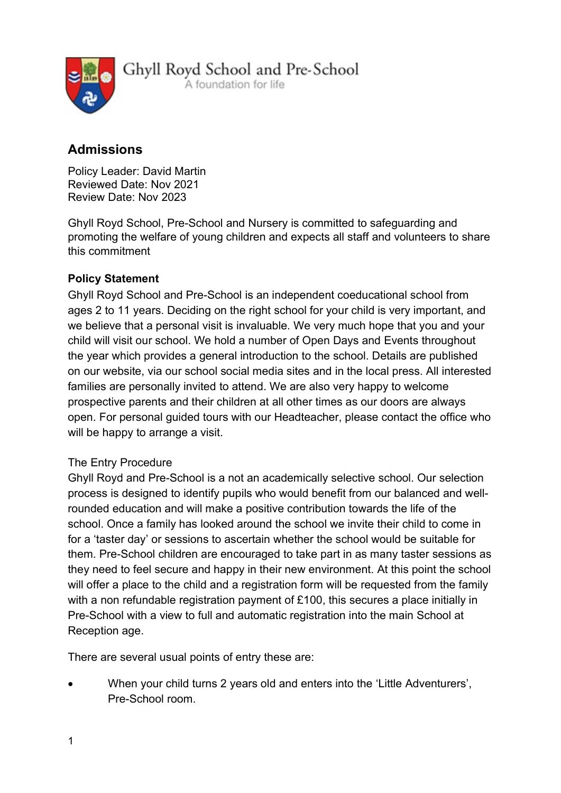

Ghyll Royd School and Pre-School A foundation for life

# Admissions

Policy Leader: David Martin Reviewed Date: Nov 2021 Review Date: Nov 2023

Ghyll Royd School, Pre-School and Nursery is committed to safeguarding and promoting the welfare of young children and expects all staff and volunteers to share this commitment

## Policy Statement

Ghyll Royd School and Pre-School is an independent coeducational school from ages 2 to 11 years. Deciding on the right school for your child is very important, and we believe that a personal visit is invaluable. We very much hope that you and your child will visit our school. We hold a number of Open Days and Events throughout the year which provides a general introduction to the school. Details are published on our website, via our school social media sites and in the local press. All interested families are personally invited to attend. We are also very happy to welcome prospective parents and their children at all other times as our doors are always open. For personal guided tours with our Headteacher, please contact the office who will be happy to arrange a visit.

## The Entry Procedure

Ghyll Royd and Pre-School is a not an academically selective school. Our selection process is designed to identify pupils who would benefit from our balanced and wellrounded education and will make a positive contribution towards the life of the school. Once a family has looked around the school we invite their child to come in for a 'taster day' or sessions to ascertain whether the school would be suitable for them. Pre-School children are encouraged to take part in as many taster sessions as they need to feel secure and happy in their new environment. At this point the school will offer a place to the child and a registration form will be requested from the family with a non refundable registration payment of £100, this secures a place initially in Pre-School with a view to full and automatic registration into the main School at Reception age.

There are several usual points of entry these are:

 When your child turns 2 years old and enters into the 'Little Adventurers', Pre-School room.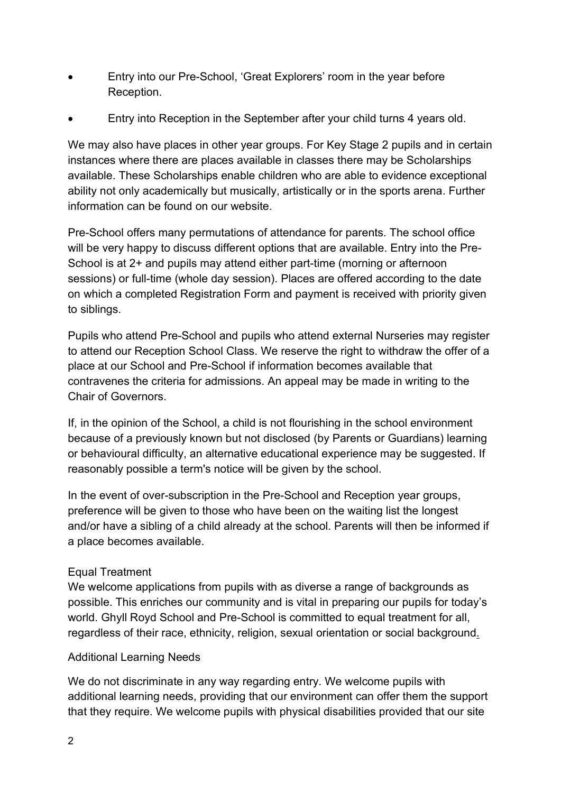- Entry into our Pre-School, 'Great Explorers' room in the year before Reception.
- Entry into Reception in the September after your child turns 4 years old.

We may also have places in other year groups. For Key Stage 2 pupils and in certain instances where there are places available in classes there may be Scholarships available. These Scholarships enable children who are able to evidence exceptional ability not only academically but musically, artistically or in the sports arena. Further information can be found on our website.

Pre-School offers many permutations of attendance for parents. The school office will be very happy to discuss different options that are available. Entry into the Pre-School is at 2+ and pupils may attend either part-time (morning or afternoon sessions) or full-time (whole day session). Places are offered according to the date on which a completed Registration Form and payment is received with priority given to siblings.

Pupils who attend Pre-School and pupils who attend external Nurseries may register to attend our Reception School Class. We reserve the right to withdraw the offer of a place at our School and Pre-School if information becomes available that contravenes the criteria for admissions. An appeal may be made in writing to the Chair of Governors.

If, in the opinion of the School, a child is not flourishing in the school environment because of a previously known but not disclosed (by Parents or Guardians) learning or behavioural difficulty, an alternative educational experience may be suggested. If reasonably possible a term's notice will be given by the school.

In the event of over-subscription in the Pre-School and Reception year groups, preference will be given to those who have been on the waiting list the longest and/or have a sibling of a child already at the school. Parents will then be informed if a place becomes available.

## Equal Treatment

We welcome applications from pupils with as diverse a range of backgrounds as possible. This enriches our community and is vital in preparing our pupils for today's world. Ghyll Royd School and Pre-School is committed to equal treatment for all, regardless of their race, ethnicity, religion, sexual orientation or social background.

## Additional Learning Needs

We do not discriminate in any way regarding entry. We welcome pupils with additional learning needs, providing that our environment can offer them the support that they require. We welcome pupils with physical disabilities provided that our site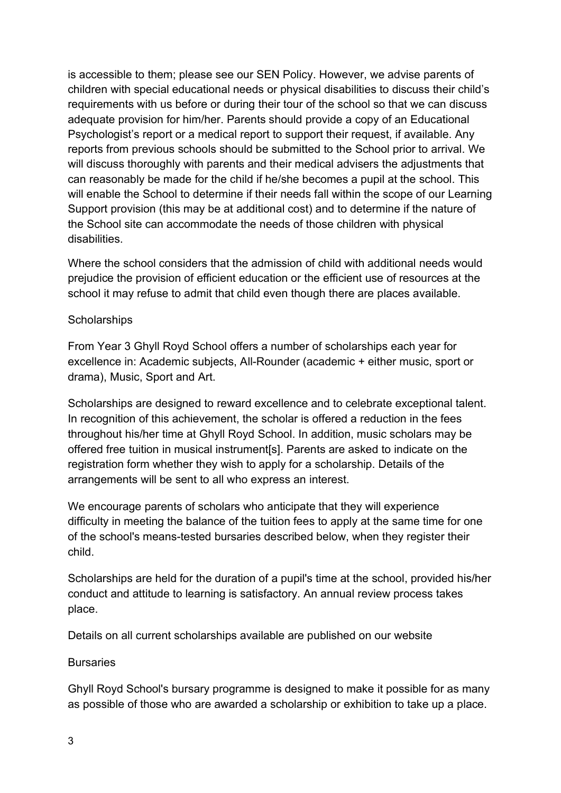is accessible to them; please see our SEN Policy. However, we advise parents of children with special educational needs or physical disabilities to discuss their child's requirements with us before or during their tour of the school so that we can discuss adequate provision for him/her. Parents should provide a copy of an Educational Psychologist's report or a medical report to support their request, if available. Any reports from previous schools should be submitted to the School prior to arrival. We will discuss thoroughly with parents and their medical advisers the adjustments that can reasonably be made for the child if he/she becomes a pupil at the school. This will enable the School to determine if their needs fall within the scope of our Learning Support provision (this may be at additional cost) and to determine if the nature of the School site can accommodate the needs of those children with physical disabilities.

Where the school considers that the admission of child with additional needs would prejudice the provision of efficient education or the efficient use of resources at the school it may refuse to admit that child even though there are places available.

## **Scholarships**

From Year 3 Ghyll Royd School offers a number of scholarships each year for excellence in: Academic subjects, All-Rounder (academic + either music, sport or drama), Music, Sport and Art.

Scholarships are designed to reward excellence and to celebrate exceptional talent. In recognition of this achievement, the scholar is offered a reduction in the fees throughout his/her time at Ghyll Royd School. In addition, music scholars may be offered free tuition in musical instrument[s]. Parents are asked to indicate on the registration form whether they wish to apply for a scholarship. Details of the arrangements will be sent to all who express an interest.

We encourage parents of scholars who anticipate that they will experience difficulty in meeting the balance of the tuition fees to apply at the same time for one of the school's means-tested bursaries described below, when they register their child.

Scholarships are held for the duration of a pupil's time at the school, provided his/her conduct and attitude to learning is satisfactory. An annual review process takes place.

Details on all current scholarships available are published on our website

#### **Bursaries**

Ghyll Royd School's bursary programme is designed to make it possible for as many as possible of those who are awarded a scholarship or exhibition to take up a place.